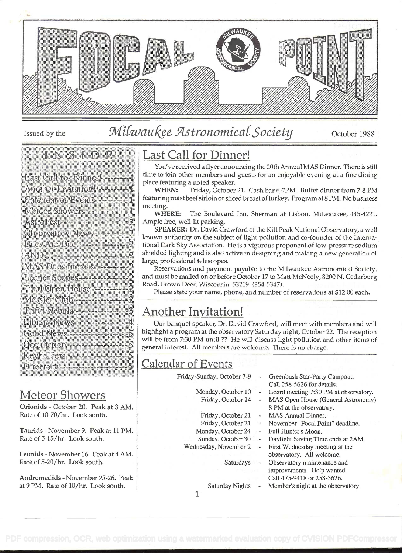

# Issued by the *Milwaukee Astronomical Society* October 1988

### **INNESS I** DEL

| Last Call for Dinner! -----------    |
|--------------------------------------|
| Another Invitation! ---------1       |
| Calendar of Events ---------1        |
| Meteor Showers -------------1        |
|                                      |
| Observatory News ---------- 2        |
|                                      |
|                                      |
| MAS Dues Increase ---------2         |
| Loaner Scopes--------------2         |
| Final Open House --------------2     |
|                                      |
| Trifid Nebula ---------------3       |
| Library News ------------------- 4   |
| Good News ------------------- 5      |
| Occultation --------------------5    |
| Keyholders ------------------- 5     |
| Directory -------------------------5 |
|                                      |

### Meteor Showers

Orionids - October 20. Peak at 3 AM. Rate of 10-70/hr. Look south.

Taurids - November 9. Peak at 11 PM. Rate of 5-15/hr. Look south.

Leonids - November 16. Peak at 4 AM. Rate of 5-20/hr. Look south.

Andromedids - November 25-26. Peak at 9 PM. Rate of 10/hr. Look south.

# Last Call for Dinner!

You've received a flyer announcing the 20th Annual MAS Dinner. There is still time to join other members and guests for an enjoyable evening at a fine dining place featuring a noted speaker.

WHEN: Friday, October 21. Cash bar 6-7PM. Buffet dinner from 7-8 PM featuring roast beef sirloin or sliced breast of turkey. Program at 8 PM. No business meeting.

WHERE: The Boulevard Inn, Sherman at Lisbon, Milwaukee, 445-4221. Ample free, well-lit parking.

SPEAKER: Dr. David Crawford of the Kitt Peak National Observatory, a well known authority on the subject of light pollution and co-founder of the International Dark Sky Association. He is a vigorous proponent of low-pressure sodium shielded lighting and is also active in designing and making a new generation of large, professional telescopes.

Reservations and payment payable to the Milwaukee Astronomical Society, and must be mailed on or before October 17 to Matt McNeely, 8200 N. Cedarburg Road, Brown Deer, Wisconsin 53209 (354-5347).

Please state your name, phone, and number of reservations at \$12.00 each.

# Another Invitation!

Our banquet speaker, Dr. David Crawford, will meet with members and will highlight a program at the observatory Saturday night, October 22. The reception will be from 7:30 PM until ?? He will discuss light pollution and other items of general interest. All members are welcome. There is no charge.

### Calendar of Events

Friday-Sunday, October 7-9

Monday, October 10 Friday, October 14

Friday, October 21

**Saturdays** 

Wednesday, November 2

- Greenbush Star-Party Campout. Call 258-5626 for details.
- Board meeting 7:30 PM at observatory.
- MAS Open House (General Astronomy) 8 PM at the observatory.
- MAS Annual Dinner.
- Friday, October 21 -- November "Focal Point" deadline.
- Monday, October 24 Full Hunter's Moon.
- Sunday, October 30 -Daylight Saving Time ends at 2AM.
	- First Wednesday meeting at the observatory. All welcome. Observatory maintenance and improvements. Help wanted.
		- Call 475-9418 or 258-5626.
	- Saturday Nights Member's night at the observatory.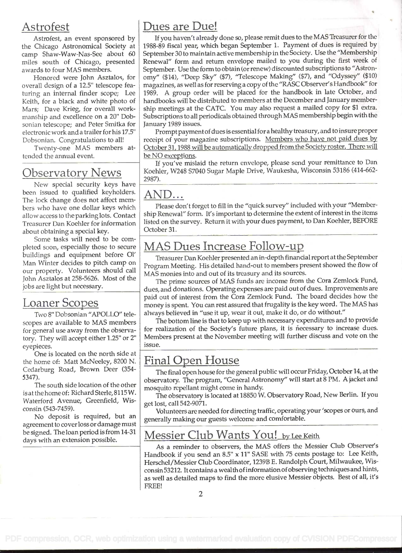### Astrofest

Astrofest, an event sponsored by the Chicago Astronomical Society at camp Shaw-Waw-Nas-See about 60 miles south of Chicago, presented awards to four MAS members.

Honored were John Asztalos, for overall design of a 12.5" telescope featuring an internal finder scope; Lee Keith, for a black and white photo of Mars; Dave Krieg, for overall workmanship and excellence on a 20' Dobsonian telescope; and Peter Smitka for electronic work and a trailer for his 17.5" Dobsonian. Congratulations to all!

Twenty-one MAS members attended the annual event.

### Observatory News

New special security keys have been issued to qualified keyholders. The lock change does not affect members who have one dollar keys which allow access to the parkinglots. Contact Treasurer Dan Koehler for information about obtaining a special key.

Some tasks will need to be com pleted soon, especially those to secure buildings and equipment before 01' Man Winter decides to pitch camp on our property. Volunteers should call John Asztalos at 258-5626. Most of the jobs are light but necessary.

### Loaner Scopes

Two 8" Dobsonian "APOLLO" telescopes are available to MAS members for general use away from the observatory. They will accept either 1.25" or 2' eyepieces.

One is located on the north side at the home of: Matt McNeeley, 8200 N. Cedarburg Road, Brown Deer (354- 5347).

The south side location of the other is at the home of: Richard Sterle, 81 15 W. Waterford Avenue; Greenfield, Wisconsin (543-7459).

No deposit is required, but an agreement to cover loss or damage must be signed. The loan period is from 14-31 days with an extension possible.

### Dues are Due!

If you haven't already done so, please remit dues to the MAS Treasurer for the 1988-89 fiscal year, which began September 1. Payment of dues is required by September 30 to maintain active membership in the Society. Use the "Membership Renewal" form and return envelope mailed to you during the first week of September. Use the form to obtain (or renew) discounted subscriptions to "Astronomy" (\$14), "Deep Sky" (\$7), "Telescope Making" (\$7), and "Odyssey" (\$10) magazines, as well as for reserving a copy of the "RASC Observer's Handbook" for 1989. A group order will be placed for the handbook in late October, and handbooks will be distributed to members at the December and January membership meetings at the CATC. You may also request a mailed copy for \$1 extra. Subscriptions to all periodicals obtained through MAS membership begin with the January 1989 issues.

Prompt payment of dues is essential for a healthy treasury, and to insure proper receipt of your magazine subscriptions. Members who have not paid dues by October 31, 1988 will be automatically dropped from the Society roster. There will be NO exceptions.

If you've mislaid the return envelope, please send your remittance to Dan Koehler, W248 57040 Sugar Maple Drive, Waukesha, Wisconsin 53186 (414-662- 2987).

### AND...

Please don't forget to fill in the "quick survey" included with your "Membership Renewal" form. It's important to determine the extent of interest in the items listed on the survey. Return it with your dues payment, to Dan Koehier, BEFORE October 31.

# MAS Dues Increase Follow-u

Treasurer Dan Koehier presented an in-depth financial report at the September Program Meeting. His detailed hand-out to members present showed the flow of MAS monies into and out of its treasury and its sources.

The prime sources of MAS funds are income from the Cora Zemlock Fund, dues, and donations. Operating expenses are paid out of dues. Improvements are paid out of interest from the Cora Zemlock Fund. The board decides how the money is spent. You can rest assured that frugality is the key word. The MAS has always believed in "use it up, wear it out, make it do, or do without."

The bottom line is that to keep up with necessary expenditures and to provide for realization of the Society's future plans, it is necessary to increase dues. Members present at the November meeting will further discuss and vote on the issue.

# Final Open House

The final open house for the general public will occur Friday, October 14, at the observatory. The program, "General Astronomy" will start at 8 PM. A jacket and mosquito repellant might come in handy.

The observatory is located at 18850 W. Observatory Road, New Berlin. If you get lost, call 542-9071.

Volunteers are needed for directing traffic, operating your 'scopes or ours, and generally making our guests welcome and comfortable.

### Messier Club Wants You! by Lee Keith

As a reminder to observers, the MAS offers the Messier Club Observer's Handbook if you send an 8.5" x 11" SASE with 75 cents postage to: Lee Keith, Herschel/Messier Club Coordinator, 1239B E. Randolph Court, Milwaukee, Wisconsin 53212. It containsa wealth ofinformation ofobserving techniques and hints, as well as detailed maps to find the more elusive Messier objects. Best of all, it's FREE!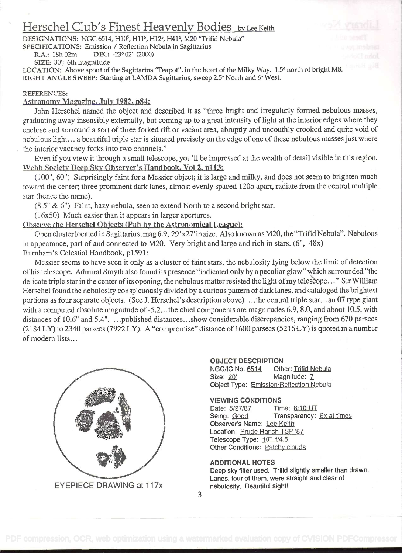# Herschel Club's Finest Heavenly Bodies by Lee Keith

DESIGNATIONS: NGC 6514, H10<sup>5</sup>, H11<sup>5</sup>, H12<sup>5</sup>, H41<sup>4</sup>, M20 "Trifid Nebula"

SPECIFICATIONS: Emission / Reflection Nebula in Sagittarius<br>R.A.: 18h 02m DEC: -23° 02' (2000) DEC: -23° 02' (2000)

SIZE: 30'; 6th magnitude

LOCATION: Above spout of the Sagittarius "Teapot", in the heart of the Milky Way. 1.5° north of bright M8. RIGHT ANGLE SWEEP: Starting at LAMDA Sagittarius, sweep 2.5° North and 6° West.

#### REFERENCES:

#### Astronomy Magazine. July 1982. o84:

John Herschel named the object and described it as "three bright and irregularly formed nebulous masses, graduating away insensibly externally, but coming up to a great intensity of light at the interior edges where they enclose and surround a sort of three forked rift or vacànt area, abruptly and uncouthly crooked and quite void of nebulous light. . . a beautiful triple star is situated precisely on the edge of one of these nebulous masses just where the interior vacancy forks into two channels."

Even if you view it through a small telescope, you'll be impressed at the wealth of detail visible in this region. Webb Society Deep Sky Observer's Handbook. Vol 2. p113:

(100", 60") Surprisingly faint for a Messier object; it is large and milky, and does not seem to brighten much toward the center; three prominent dark lanes, almost evenly spaced 120o apart, radiate from the central multiple star (hence the name).

(8.5' & 6") Faint, hazy nebula, seen to extend North to a second bright star.

 $(16x50)$  Much easier than it appears in larger apertures.

#### Observe the Herschel Objects (Pub by the Astronomical League):

Open cluster located in Sagittarius, mag 6.9, 29'x27' in size. Also known as M20, the "Trifid Nebula". Nebulous in appearance, part of and connected to M20. Very bright and large and rich in stars. (6", 48x) Burnham's Celestial Handbook, p1591:

Messier seems to have seen it only as a cluster of faint stars, the nebulosity lying below the limit of detection ofhis telescope. Admiral Smyth also found its presence "indicated only by a peculiar glow" which surrounded "the delicate triple star in the center of its opening, the nebulous matter resisted the light of my telescope..." Sir William Herschel found the nebulosity conspicuously divided by a curious pattern of dark lanes, and cataloged the brightest portions as four separate objects. (See J. Herschel's description above) . . .the central triple star. . . an 07 type giant with a computed absolute magnitude of -5.2...the chief components are magnitudes 6.9, 8.0, and about 10.5, with distances of 10.6" and 5.4". ...published distances...show considerable discrepancies, ranging from 670 parsecs  $(2184 LY)$  to 2340 parsecs (7922 LY). A "compromise" distance of 1600 parsecs (5216 LY) is quoted in a number of modern lists...



#### OBJECT DESCRIPTION NGC/IC No. 6514 Other: Trifid Nebula

Size: 20' Magnitude: Z Object Type: Emission/Reflection Nebula

#### VIEWING CONDITIONS

Date: 5/27/87 Time: 8:10 UT Seing: Good Transparency: Ex at times Observer's Name: Lee Keith Location: Prude Ranch TSP '87 Telescope Type: 10" f/4.5 Other Conditions: Patchy clouds

#### ADDITIONAL NOTES

Deep sky filter used. Trifid slightly smaller than drawn. Lanes, four of them, were straight and clear of nebulosity. Beautiful sight!

EYEPIECE DRAWING at 117x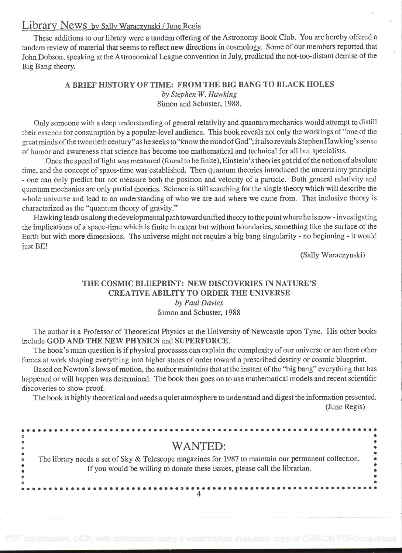# Library News by Sally Waraczynski / June Regis

These additions to our library were a tandem offering of the Astronomy Book Club. You are hereby offered a tandem review of material that seems to reflect new directions in cosmology. Some of our members reported that John Dobson, speaking at the Astronomical League convention in July, predicted the not-too-distant demise of the Big Bang theory.

#### A BRIEF HISTORY OF TIME: FROM THE BIG BANG TO BLACK HOLES by Stephen W. Hawking Simon and Schuster, 1988.

Only someone with a deep understanding of general relativity and quantum mechanics would attempt to distill their essence for consumption by a popular-level audience. This book reveals not only the workings of "one of the great minds of the twentieth century" as he seeks to "know the mind ofGod"; it also reveals Stephen Hawking' s sense of humor and awareness that science has become too mathematical and technical for all but specialists.

Once the speed of light was measured (found to be finite), Einstein's theories got rid of the notion of absolute time, and the concept of space-time was established. Then quantum theories introduced the uncertainty principle - one can only predict but not measure both the position and velocity of a particle. Both general relativity and quantum mechanics are only partial theories. Science is still searching for the single theory which will describe the whole universe and lead to an understanding of who we are and where we came from. That inclusive theory is characterized as the "quantum theory of gravity."

Hawking leads us along the developmental path toward unified theory to the point where he is now - investigating the implications of a space-time which is finite in extent but without boundaries, something like the surface of the Earth but with more dimensions. The universe might not require a big bang singularity - no beginning - it would just BE!

(Sally Waraczynski)

#### THE COSMIC BLUEPRINT: NEW DISCOVERIES IN NATURE'S CREATIVE ABILITY TO ORDER THE UNIVERSE by Paul Davies Simon and Schuster, 1988

The author is a Professor of Theoretical Physics at the University of Newcastle upon Tyne. His other books include GOD AND THE NEW PHYSICS and SUPERFORCE.

The book's main question is if physical processes can explain the complexity of our universe or are there other forces at work shaping everything into higher states of order toward a prescribed destiny or cosmic blueprint.

Based on Newton's laws of motion, the author maintains that at the instant of the "big bang" everything that has happened or will happen was determined. The book then goes on to use mathematical models and recent scientific discoveries to show proof.

The book is highly theoretical and needs a quiet atmosphere to understand and digest the information presented.

(June Regis)

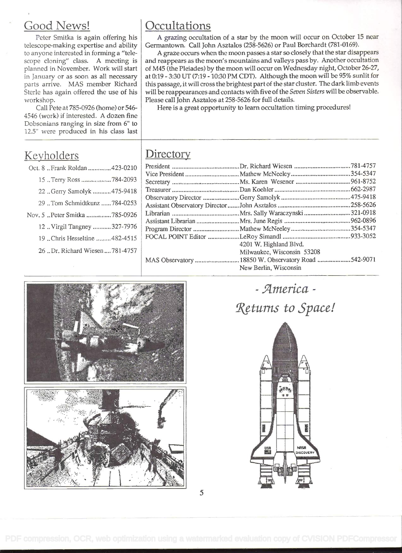# Good News!

Peter Smitka is again offering his telescope-making expertise and ability to anyone interested in forming a "telescope cloning" class. A meeting is planned in November. Work will start in January or as soon as all necessary parts arrive. MAS member Richard Sterle has again offered the use of his workshop.

Call Pete at 785-0926 (home) or 546- 4546 (work) if interested. A dozen fine Dobsonians ranging in size from 6" to 12.5' were produced in his class last

### **Keyholders**

| Oct. 8  Frank Roldan  423-0210  | Pre       |
|---------------------------------|-----------|
| 15  Terry Ross  784-2093        | Vi<br>Se  |
| 22  Gerry Samolyk  475-9418     | Tr        |
| 29  Tom Schmidtkunz  784-0253   | Ob<br>As  |
| Nov. 5 Peter Smitka 785-0926    | Lil       |
| 12 . Virgil Tangney  327-7976   | As<br>Pro |
| 19 .Chris Hesseltine 482-4515   | FC        |
| 26 Dr. Richard Wiesen  781-4757 |           |
|                                 | AT.       |

# **Occultations**

A grazing occultation of a star by the moon will occur on October 15 near Germantown. Call John Asztalos (258-5626) or Paul Borchardt (781-0169).

A graze occurs when the moon passes a star so closely that the star disappears and reappears as the moon's mountains and valleys pass by. Another occultation of M45 (the Pleiades) by the moon will occur on Wednesday night, October 26-27, at 0:19 - 3:30 UT (7:19 - 10:30 PM CDT). Although the moon will be 95% sunlit for this passage, it will cross the brightest part of the star cluster. The dark limb events will be reappearances and contacts with five of the Seven Sisters will be observable. Please call John Asztalos at 258-5626 for full details.

Here is a great opportunity to learn occultation timing procedures!

# **Directory**

| 4201 W. Highland Blvd.                              |  |
|-----------------------------------------------------|--|
| Milwaukee, Wisconsin 53208                          |  |
| MAS Observatory  18850 W. Observatory Road 542-9071 |  |
| New Berlin, Wisconsin                               |  |
|                                                     |  |



- America -Rçturns to Space!